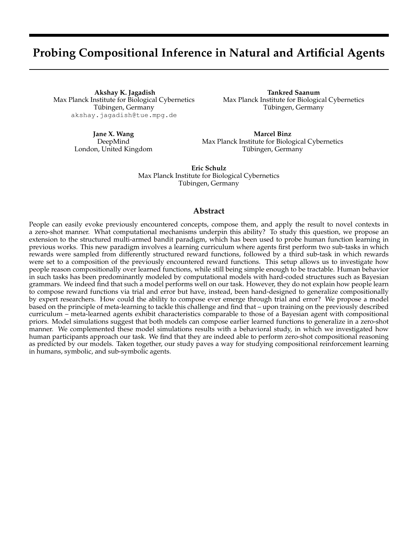# **Probing Compositional Inference in Natural and Artificial Agents**

**Akshay K. Jagadish** Max Planck Institute for Biological Cybernetics Tübingen, Germany akshay.jagadish@tue.mpg.de

**Tankred Saanum** Max Planck Institute for Biological Cybernetics Tübingen, Germany

**Jane X. Wang** DeepMind London, United Kingdom

**Marcel Binz** Max Planck Institute for Biological Cybernetics Tübingen, Germany

**Eric Schulz** Max Planck Institute for Biological Cybernetics Tübingen, Germany

### **Abstract**

People can easily evoke previously encountered concepts, compose them, and apply the result to novel contexts in a zero-shot manner. What computational mechanisms underpin this ability? To study this question, we propose an extension to the structured multi-armed bandit paradigm, which has been used to probe human function learning in previous works. This new paradigm involves a learning curriculum where agents first perform two sub-tasks in which rewards were sampled from differently structured reward functions, followed by a third sub-task in which rewards were set to a composition of the previously encountered reward functions. This setup allows us to investigate how people reason compositionally over learned functions, while still being simple enough to be tractable. Human behavior in such tasks has been predominantly modeled by computational models with hard-coded structures such as Bayesian grammars. We indeed find that such a model performs well on our task. However, they do not explain how people learn to compose reward functions via trial and error but have, instead, been hand-designed to generalize compositionally by expert researchers. How could the ability to compose ever emerge through trial and error? We propose a model based on the principle of meta-learning to tackle this challenge and find that – upon training on the previously described curriculum – meta-learned agents exhibit characteristics comparable to those of a Bayesian agent with compositional priors. Model simulations suggest that both models can compose earlier learned functions to generalize in a zero-shot manner. We complemented these model simulations results with a behavioral study, in which we investigated how human participants approach our task. We find that they are indeed able to perform zero-shot compositional reasoning as predicted by our models. Taken together, our study paves a way for studying compositional reinforcement learning in humans, symbolic, and sub-symbolic agents.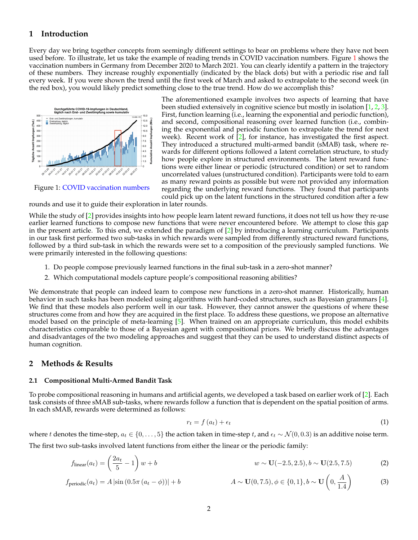# **1 Introduction**

Every day we bring together concepts from seemingly different settings to bear on problems where they have not been used before. To illustrate, let us take the example of reading trends in COVID vaccination numbers. Figure [1](#page-1-0) shows the vaccination numbers in Germany from December 2020 to March 2021. You can clearly identify a pattern in the trajectory of these numbers. They increase roughly exponentially (indicated by the black dots) but with a periodic rise and fall every week. If you were shown the trend until the first week of March and asked to extrapolate to the second week (in the red box), you would likely predict something close to the true trend. How do we accomplish this?

<span id="page-1-0"></span>

Figure 1: [COVID vaccination numbers](www.rki.de)

The aforementioned example involves two aspects of learning that have been studied extensively in cognitive science but mostly in isolation [\[1,](#page-4-0) [2,](#page-4-1) [3\]](#page-4-2). First, function learning (i.e., learning the exponential and periodic function), and second, compositional reasoning over learned function (i.e., combining the exponential and periodic function to extrapolate the trend for next week). Recent work of [\[2\]](#page-4-1), for instance, has investigated the first aspect. They introduced a structured multi-armed bandit (sMAB) task, where rewards for different options followed a latent correlation structure, to study how people explore in structured environments. The latent reward functions were either linear or periodic (structured condition) or set to random uncorrelated values (unstructured condition). Participants were told to earn as many reward points as possible but were not provided any information regarding the underlying reward functions. They found that participants could pick up on the latent functions in the structured condition after a few

rounds and use it to guide their exploration in later rounds.

While the study of [\[2\]](#page-4-1) provides insights into how people learn latent reward functions, it does not tell us how they re-use earlier learned functions to compose new functions that were never encountered before. We attempt to close this gap in the present article. To this end, we extended the paradigm of [\[2\]](#page-4-1) by introducing a learning curriculum. Participants in our task first performed two sub-tasks in which rewards were sampled from differently structured reward functions, followed by a third sub-task in which the rewards were set to a composition of the previously sampled functions. We were primarily interested in the following questions:

- 1. Do people compose previously learned functions in the final sub-task in a zero-shot manner?
- 2. Which computational models capture people's compositional reasoning abilities?

We demonstrate that people can indeed learn to compose new functions in a zero-shot manner. Historically, human behavior in such tasks has been modeled using algorithms with hard-coded structures, such as Bayesian grammars [\[4\]](#page-4-3). We find that these models also perform well in our task. However, they cannot answer the questions of where these structures come from and how they are acquired in the first place. To address these questions, we propose an alternative model based on the principle of meta-learning [\[5\]](#page-4-4). When trained on an appropriate curriculum, this model exhibits characteristics comparable to those of a Bayesian agent with compositional priors. We briefly discuss the advantages and disadvantages of the two modeling approaches and suggest that they can be used to understand distinct aspects of human cognition.

## **2 Methods & Results**

### <span id="page-1-1"></span>**2.1 Compositional Multi-Armed Bandit Task**

To probe compositional reasoning in humans and artificial agents, we developed a task based on earlier work of [\[2\]](#page-4-1). Each task consists of three sMAB sub-tasks, where rewards follow a function that is dependent on the spatial position of arms. In each sMAB, rewards were determined as follows:

$$
r_t = f\left(a_t\right) + \epsilon_t \tag{1}
$$

where t denotes the time-step,  $a_t \in \{0, \ldots, 5\}$  the action taken in time-step t, and  $\epsilon_t \sim \mathcal{N}(0, 0.3)$  is an additive noise term.

The first two sub-tasks involved latent functions from either the linear or the periodic family:

$$
f_{\text{linear}}(a_t) = \left(\frac{2a_t}{5} - 1\right)w + b \qquad w \sim \mathbf{U}(-2.5, 2.5), b \sim \mathbf{U}(2.5, 7.5) \tag{2}
$$

$$
f_{\text{periodic}}(a_t) = A |\sin(0.5\pi (a_t - \phi))| + b \qquad A \sim \mathbf{U}(0, 7.5), \phi \in \{0, 1\}, b \sim \mathbf{U}\left(0, \frac{A}{1.4}\right) \tag{3}
$$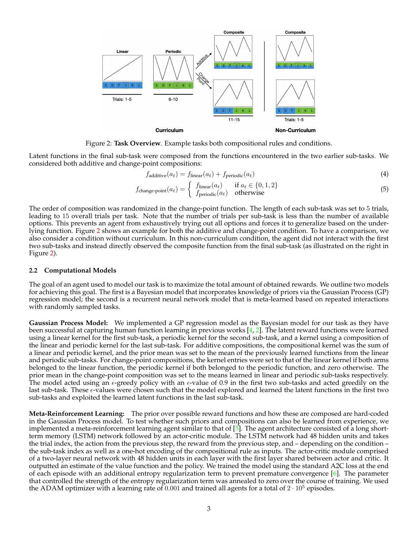<span id="page-2-0"></span>

Figure 2: **Task Overview**. Example tasks both compositional rules and conditions.

Latent functions in the final sub-task were composed from the functions encountered in the two earlier sub-tasks. We considered both additive and change-point compositions:

$$
f_{additive}(a_t) = f_{linear}(a_t) + f_{periodic}(a_t)
$$
\n(4)

$$
f_{\text{change-point}}(a_t) = \begin{cases} f_{\text{linear}}(a_t) & \text{if } a_t \in \{0, 1, 2\} \\ f_{\text{periodic}}(a_t) & \text{otherwise} \end{cases}
$$
(5)

The order of composition was randomized in the change-point function. The length of each sub-task was set to 5 trials, leading to 15 overall trials per task. Note that the number of trials per sub-task is less than the number of available options. This prevents an agent from exhaustively trying out all options and forces it to generalize based on the underlying function. Figure [2](#page-2-0) shows an example for both the additive and change-point condition. To have a comparison, we also consider a condition without curriculum. In this non-curriculum condition, the agent did not interact with the first two sub-tasks and instead directly observed the composite function from the final sub-task (as illustrated on the right in Figure [2\)](#page-2-0).

#### **2.2 Computational Models**

The goal of an agent used to model our task is to maximize the total amount of obtained rewards. We outline two models for achieving this goal. The first is a Bayesian model that incorporates knowledge of priors via the Gaussian Process (GP) regression model; the second is a recurrent neural network model that is meta-learned based on repeated interactions with randomly sampled tasks.

**Gaussian Process Model:** We implemented a GP regression model as the Bayesian model for our task as they have been successful at capturing human function learning in previous works [\[4,](#page-4-3) [2\]](#page-4-1). The latent reward functions were learned using a linear kernel for the first sub-task, a periodic kernel for the second sub-task, and a kernel using a composition of the linear and periodic kernel for the last sub-task. For additive compositions, the compositional kernel was the sum of a linear and periodic kernel, and the prior mean was set to the mean of the previously learned functions from the linear and periodic sub-tasks. For change-point compositions, the kernel entries were set to that of the linear kernel if both arms belonged to the linear function, the periodic kernel if both belonged to the periodic function, and zero otherwise. The prior mean in the change-point composition was set to the means learned in linear and periodic sub-tasks respectively. The model acted using an  $\epsilon$ -greedy policy with an  $\epsilon$ -value of 0.9 in the first two sub-tasks and acted greedily on the last sub-task. These  $\epsilon$ -values were chosen such that the model explored and learned the latent functions in the first two sub-tasks and exploited the learned latent functions in the last sub-task.

**Meta-Reinforcement Learning:** The prior over possible reward functions and how these are composed are hard-coded in the Gaussian Process model. To test whether such priors and compositions can also be learned from experience, we implemented a meta-reinforcement learning agent similar to that of  $[5]$ . The agent architecture consisted of a long shortterm memory (LSTM) network followed by an actor-critic module. The LSTM network had 48 hidden units and takes the trial index, the action from the previous step, the reward from the previous step, and – depending on the condition – the sub-task index as well as a one-hot encoding of the compositional rule as inputs. The actor-critic module comprised of a two-layer neural network with 48 hidden units in each layer with the first layer shared between actor and critic. It outputted an estimate of the value function and the policy. We trained the model using the standard A2C loss at the end of each episode with an additional entropy regularization term to prevent premature convergence [\[6\]](#page-4-5). The parameter that controlled the strength of the entropy regularization term was annealed to zero over the course of training. We used the ADAM optimizer with a learning rate of 0.001 and trained all agents for a total of  $2 \cdot 10^5$  episodes.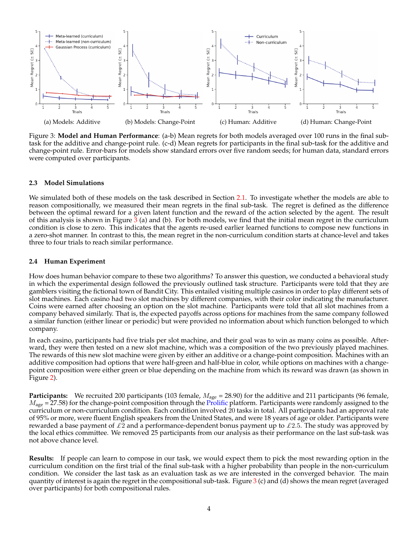<span id="page-3-0"></span>

Figure 3: **Model and Human Performance**: (a-b) Mean regrets for both models averaged over 100 runs in the final subtask for the additive and change-point rule. (c-d) Mean regrets for participants in the final sub-task for the additive and change-point rule. Error-bars for models show standard errors over five random seeds; for human data, standard errors were computed over participants.

### **2.3 Model Simulations**

We simulated both of these models on the task described in Section [2.1.](#page-1-1) To investigate whether the models are able to reason compositionally, we measured their mean regrets in the final sub-task. The regret is defined as the difference between the optimal reward for a given latent function and the reward of the action selected by the agent. The result of this analysis is shown in Figure  $\frac{3}{2}$  $\frac{3}{2}$  $\frac{3}{2}$  (a) and (b). For both models, we find that the initial mean regret in the curriculum condition is close to zero. This indicates that the agents re-used earlier learned functions to compose new functions in a zero-shot manner. In contrast to this, the mean regret in the non-curriculum condition starts at chance-level and takes three to four trials to reach similar performance.

### **2.4 Human Experiment**

How does human behavior compare to these two algorithms? To answer this question, we conducted a behavioral study in which the experimental design followed the previously outlined task structure. Participants were told that they are gamblers visiting the fictional town of Bandit City. This entailed visiting multiple casinos in order to play different sets of slot machines. Each casino had two slot machines by different companies, with their color indicating the manufacturer. Coins were earned after choosing an option on the slot machine. Participants were told that all slot machines from a company behaved similarly. That is, the expected payoffs across options for machines from the same company followed a similar function (either linear or periodic) but were provided no information about which function belonged to which company.

In each casino, participants had five trials per slot machine, and their goal was to win as many coins as possible. Afterward, they were then tested on a new slot machine, which was a composition of the two previously played machines. The rewards of this new slot machine were given by either an additive or a change-point composition. Machines with an additive composition had options that were half-green and half-blue in color, while options on machines with a changepoint composition were either green or blue depending on the machine from which its reward was drawn (as shown in Figure [2\)](#page-2-0).

**Participants:** We recruited 200 participants (103 female,  $M_{\text{age}} = 28.90$ ) for the additive and 211 participants (96 female,  $M_{\text{age}}$  = 27.58) for the change-point composition through the [Prolific](https://www.prolific.co/) platform. Participants were randomly assigned to the curriculum or non-curriculum condition. Each condition involved  $\overline{2}0$  tasks in total. All participants had an approval rate of 95% or more, were fluent English speakers from the United States, and were 18 years of age or older. Participants were rewarded a base payment of  $\pounds 2$  and a performance-dependent bonus payment up to  $\pounds 2.5$ . The study was approved by the local ethics committee. We removed 25 participants from our analysis as their performance on the last sub-task was not above chance level.

**Results:** If people can learn to compose in our task, we would expect them to pick the most rewarding option in the curriculum condition on the first trial of the final sub-task with a higher probability than people in the non-curriculum condition. We consider the last task as an evaluation task as we are interested in the converged behavior. The main quantity of interest is again the regret in the compositional sub-task. Figure  $3$  (c) and (d) shows the mean regret (averaged over participants) for both compositional rules.